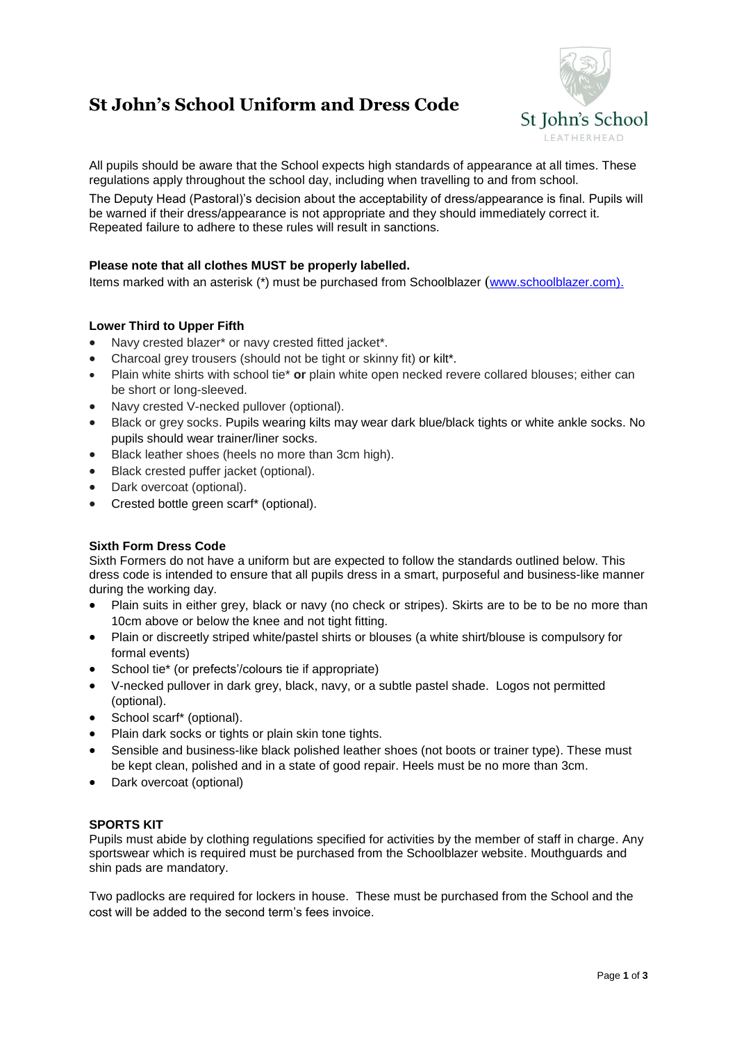# **St John's School Uniform and Dress Code**



All pupils should be aware that the School expects high standards of appearance at all times. These regulations apply throughout the school day, including when travelling to and from school.

The Deputy Head (Pastoral)'s decision about the acceptability of dress/appearance is final. Pupils will be warned if their dress/appearance is not appropriate and they should immediately correct it. Repeated failure to adhere to these rules will result in sanctions.

# **Please note that all clothes MUST be properly labelled.**

Items marked with an asterisk (\*) must be purchased from Schoolblazer ([www.schoolblazer.com\)](http://www.schoolblazer.com/).

## **Lower Third to Upper Fifth**

- Navy crested blazer\* or navy crested fitted jacket\*.
- Charcoal grey trousers (should not be tight or skinny fit) or kilt\*.
- Plain white shirts with school tie\* **or** plain white open necked revere collared blouses; either can be short or long-sleeved.
- Navy crested V-necked pullover (optional).
- Black or grey socks. Pupils wearing kilts may wear dark blue/black tights or white ankle socks. No pupils should wear trainer/liner socks.
- Black leather shoes (heels no more than 3cm high).
- Black crested puffer jacket (optional).
- Dark overcoat (optional).
- Crested bottle green scarf\* (optional).

## **Sixth Form Dress Code**

Sixth Formers do not have a uniform but are expected to follow the standards outlined below. This dress code is intended to ensure that all pupils dress in a smart, purposeful and business-like manner during the working day.

- Plain suits in either grey, black or navy (no check or stripes). Skirts are to be to be no more than 10cm above or below the knee and not tight fitting.
- Plain or discreetly striped white/pastel shirts or blouses (a white shirt/blouse is compulsory for formal events)
- School tie\* (or prefects'/colours tie if appropriate)
- V-necked pullover in dark grey, black, navy, or a subtle pastel shade. Logos not permitted (optional).
- School scarf\* (optional).
- Plain dark socks or tights or plain skin tone tights.
- Sensible and business-like black polished leather shoes (not boots or trainer type). These must be kept clean, polished and in a state of good repair. Heels must be no more than 3cm.
- Dark overcoat (optional)

#### **SPORTS KIT**

Pupils must abide by clothing regulations specified for activities by the member of staff in charge. Any sportswear which is required must be purchased from the Schoolblazer website. Mouthguards and shin pads are mandatory.

Two padlocks are required for lockers in house. These must be purchased from the School and the cost will be added to the second term's fees invoice.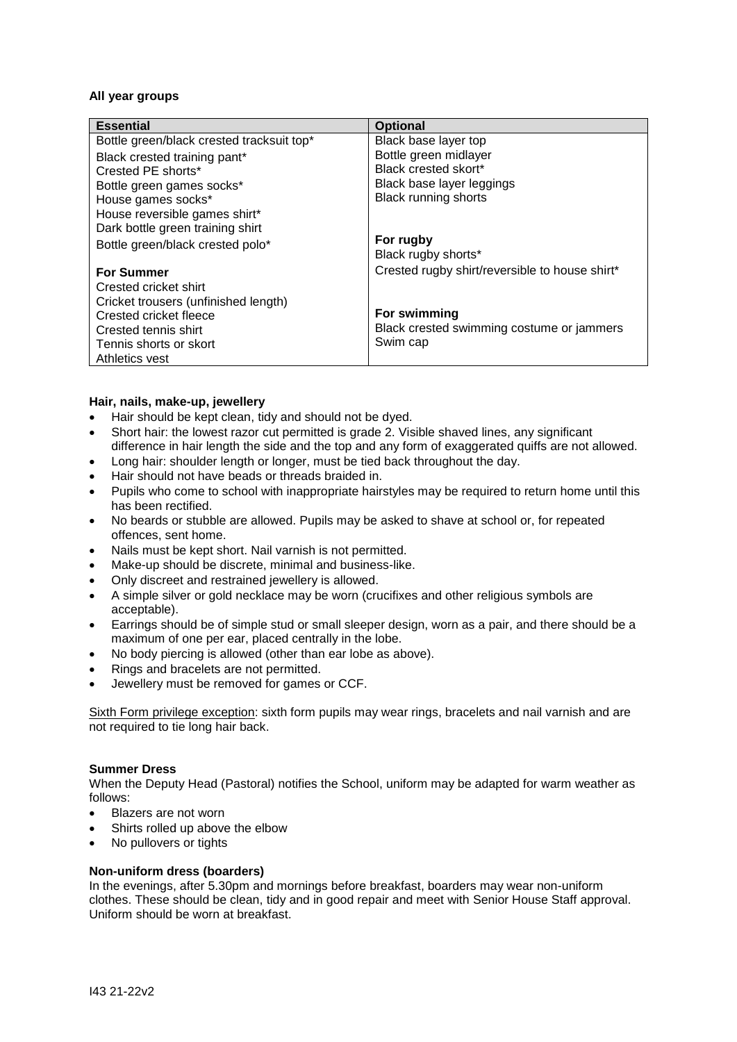#### **All year groups**

| <b>Essential</b>                          | <b>Optional</b>                                |
|-------------------------------------------|------------------------------------------------|
| Bottle green/black crested tracksuit top* | Black base layer top                           |
| Black crested training pant*              | Bottle green midlayer                          |
| Crested PE shorts*                        | Black crested skort*                           |
| Bottle green games socks*                 | Black base layer leggings                      |
| House games socks*                        | <b>Black running shorts</b>                    |
| House reversible games shirt*             |                                                |
| Dark bottle green training shirt          |                                                |
| Bottle green/black crested polo*          | For rugby                                      |
|                                           | Black rugby shorts*                            |
| <b>For Summer</b>                         | Crested rugby shirt/reversible to house shirt* |
| Crested cricket shirt                     |                                                |
| Cricket trousers (unfinished length)      |                                                |
| Crested cricket fleece                    | For swimming                                   |
| Crested tennis shirt                      | Black crested swimming costume or jammers      |
| Tennis shorts or skort                    | Swim cap                                       |
| Athletics vest                            |                                                |

#### **Hair, nails, make-up, jewellery**

- Hair should be kept clean, tidy and should not be dyed.
- Short hair: the lowest razor cut permitted is grade 2. Visible shaved lines, any significant difference in hair length the side and the top and any form of exaggerated quiffs are not allowed.
- Long hair: shoulder length or longer, must be tied back throughout the day.
- Hair should not have beads or threads braided in.
- Pupils who come to school with inappropriate hairstyles may be required to return home until this has been rectified.
- No beards or stubble are allowed. Pupils may be asked to shave at school or, for repeated offences, sent home.
- Nails must be kept short. Nail varnish is not permitted.
- Make-up should be discrete, minimal and business-like.
- Only discreet and restrained jewellery is allowed.
- A simple silver or gold necklace may be worn (crucifixes and other religious symbols are acceptable).
- Earrings should be of simple stud or small sleeper design, worn as a pair, and there should be a maximum of one per ear, placed centrally in the lobe.
- No body piercing is allowed (other than ear lobe as above).
- Rings and bracelets are not permitted.
- Jewellery must be removed for games or CCF.

Sixth Form privilege exception: sixth form pupils may wear rings, bracelets and nail varnish and are not required to tie long hair back.

#### **Summer Dress**

When the Deputy Head (Pastoral) notifies the School, uniform may be adapted for warm weather as follows:

- Blazers are not worn
- Shirts rolled up above the elbow
- No pullovers or tights

#### **Non-uniform dress (boarders)**

In the evenings, after 5.30pm and mornings before breakfast, boarders may wear non-uniform clothes. These should be clean, tidy and in good repair and meet with Senior House Staff approval. Uniform should be worn at breakfast.